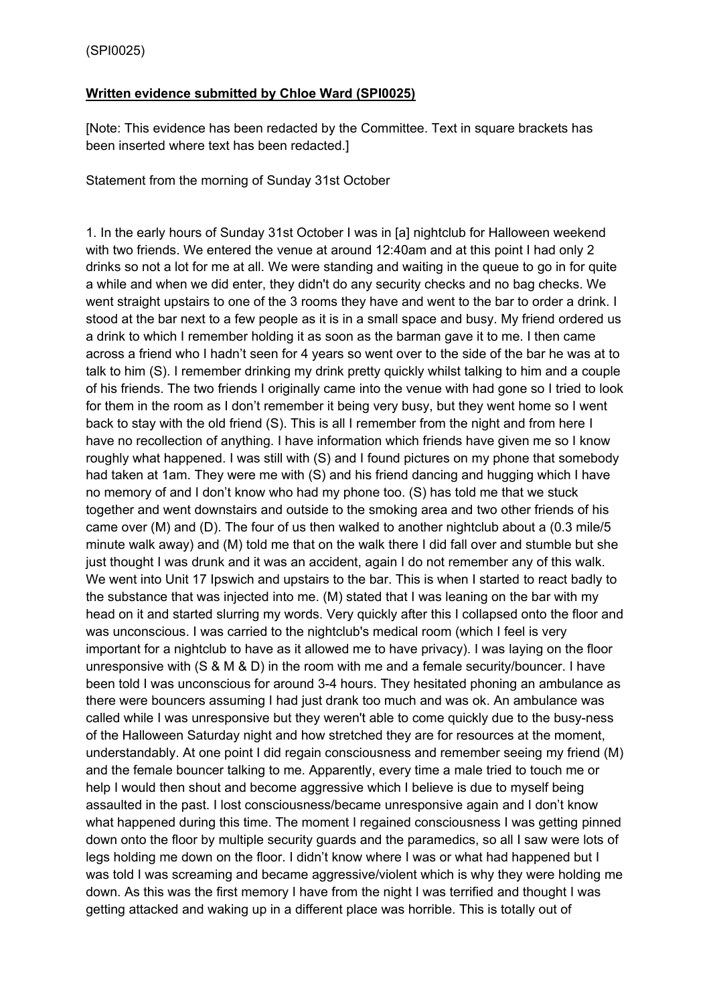## **Written evidence submitted by Chloe Ward (SPI0025)**

[Note: This evidence has been redacted by the Committee. Text in square brackets has been inserted where text has been redacted.]

Statement from the morning of Sunday 31st October

1. In the early hours of Sunday 31st October I was in [a] nightclub for Halloween weekend with two friends. We entered the venue at around 12:40am and at this point I had only 2 drinks so not a lot for me at all. We were standing and waiting in the queue to go in for quite a while and when we did enter, they didn't do any security checks and no bag checks. We went straight upstairs to one of the 3 rooms they have and went to the bar to order a drink. I stood at the bar next to a few people as it is in a small space and busy. My friend ordered us a drink to which I remember holding it as soon as the barman gave it to me. I then came across a friend who I hadn't seen for 4 years so went over to the side of the bar he was at to talk to him (S). I remember drinking my drink pretty quickly whilst talking to him and a couple of his friends. The two friends I originally came into the venue with had gone so I tried to look for them in the room as I don't remember it being very busy, but they went home so I went back to stay with the old friend (S). This is all I remember from the night and from here I have no recollection of anything. I have information which friends have given me so I know roughly what happened. I was still with (S) and I found pictures on my phone that somebody had taken at 1am. They were me with (S) and his friend dancing and hugging which I have no memory of and I don't know who had my phone too. (S) has told me that we stuck together and went downstairs and outside to the smoking area and two other friends of his came over (M) and (D). The four of us then walked to another nightclub about a (0.3 mile/5 minute walk away) and (M) told me that on the walk there I did fall over and stumble but she just thought I was drunk and it was an accident, again I do not remember any of this walk. We went into Unit 17 Ipswich and upstairs to the bar. This is when I started to react badly to the substance that was injected into me. (M) stated that I was leaning on the bar with my head on it and started slurring my words. Very quickly after this I collapsed onto the floor and was unconscious. I was carried to the nightclub's medical room (which I feel is very important for a nightclub to have as it allowed me to have privacy). I was laying on the floor unresponsive with (S & M & D) in the room with me and a female security/bouncer. I have been told I was unconscious for around 3-4 hours. They hesitated phoning an ambulance as there were bouncers assuming I had just drank too much and was ok. An ambulance was called while I was unresponsive but they weren't able to come quickly due to the busy-ness of the Halloween Saturday night and how stretched they are for resources at the moment, understandably. At one point I did regain consciousness and remember seeing my friend (M) and the female bouncer talking to me. Apparently, every time a male tried to touch me or help I would then shout and become aggressive which I believe is due to myself being assaulted in the past. I lost consciousness/became unresponsive again and I don't know what happened during this time. The moment I regained consciousness I was getting pinned down onto the floor by multiple security guards and the paramedics, so all I saw were lots of legs holding me down on the floor. I didn't know where I was or what had happened but I was told I was screaming and became aggressive/violent which is why they were holding me down. As this was the first memory I have from the night I was terrified and thought I was getting attacked and waking up in a different place was horrible. This is totally out of